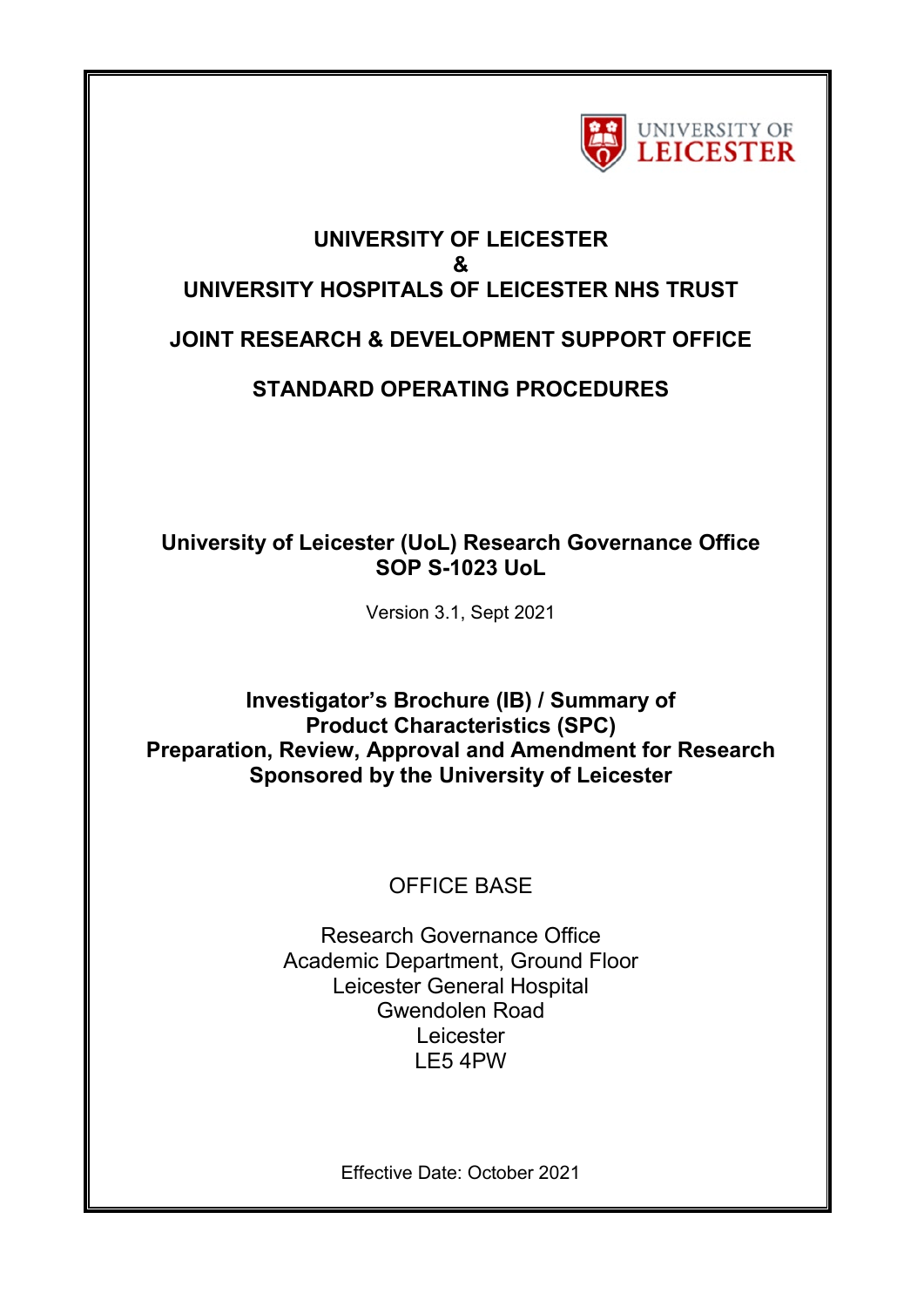

# **UNIVERSITY OF LEICESTER & UNIVERSITY HOSPITALS OF LEICESTER NHS TRUST JOINT RESEARCH & DEVELOPMENT SUPPORT OFFICE**

## **STANDARD OPERATING PROCEDURES**

### **University of Leicester (UoL) Research Governance Office SOP S-1023 UoL**

Version 3.1, Sept 2021

### **Investigator's Brochure (IB) / Summary of Product Characteristics (SPC) Preparation, Review, Approval and Amendment for Research Sponsored by the University of Leicester**

## OFFICE BASE

Research Governance Office Academic Department, Ground Floor Leicester General Hospital Gwendolen Road Leicester LE5 4PW

Effective Date: October 2021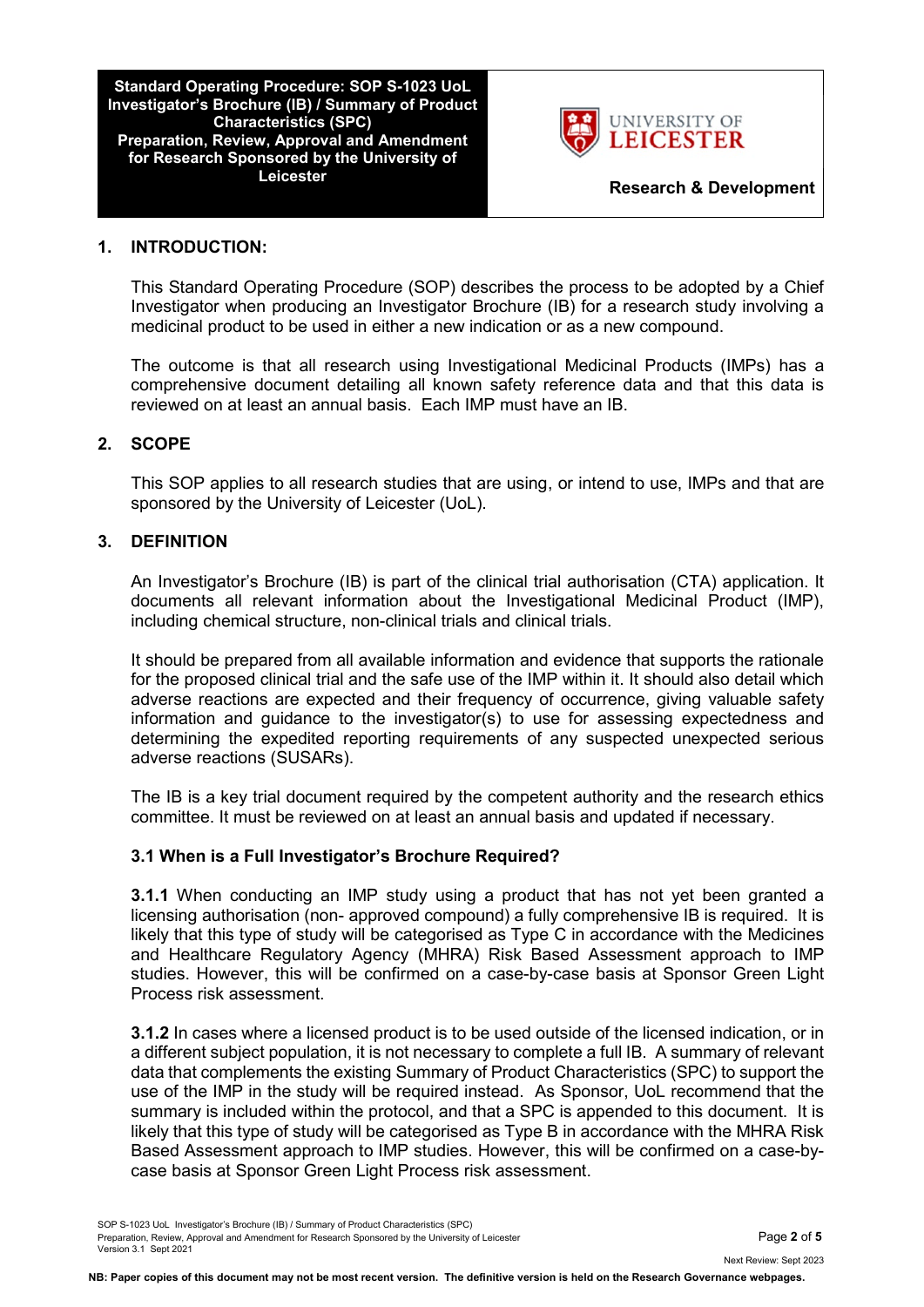**Standard Operating Procedure: SOP S-1023 UoL Investigator's Brochure (IB) / Summary of Product Characteristics (SPC) Preparation, Review, Approval and Amendment for Research Sponsored by the University of** 



**Research & Development** 

#### **1. INTRODUCTION:**

This Standard Operating Procedure (SOP) describes the process to be adopted by a Chief Investigator when producing an Investigator Brochure (IB) for a research study involving a medicinal product to be used in either a new indication or as a new compound.

The outcome is that all research using Investigational Medicinal Products (IMPs) has a comprehensive document detailing all known safety reference data and that this data is reviewed on at least an annual basis. Each IMP must have an IB.

#### **2. SCOPE**

This SOP applies to all research studies that are using, or intend to use, IMPs and that are sponsored by the University of Leicester (UoL).

#### **3. DEFINITION**

An Investigator's Brochure (IB) is part of the clinical trial authorisation (CTA) application. It documents all relevant information about the Investigational Medicinal Product (IMP), including chemical structure, non-clinical trials and clinical trials.

It should be prepared from all available information and evidence that supports the rationale for the proposed clinical trial and the safe use of the IMP within it. It should also detail which adverse reactions are expected and their frequency of occurrence, giving valuable safety information and guidance to the investigator(s) to use for assessing expectedness and determining the expedited reporting requirements of any suspected unexpected serious adverse reactions (SUSARs).

The IB is a key trial document required by the competent authority and the research ethics committee. It must be reviewed on at least an annual basis and updated if necessary.

#### **3.1 When is a Full Investigator's Brochure Required?**

**3.1.1** When conducting an IMP study using a product that has not yet been granted a licensing authorisation (non- approved compound) a fully comprehensive IB is required. It is likely that this type of study will be categorised as Type C in accordance with the Medicines and Healthcare Regulatory Agency (MHRA) Risk Based Assessment approach to IMP studies. However, this will be confirmed on a case-by-case basis at Sponsor Green Light Process risk assessment.

**3.1.2** In cases where a licensed product is to be used outside of the licensed indication, or in a different subject population, it is not necessary to complete a full IB. A summary of relevant data that complements the existing Summary of Product Characteristics (SPC) to support the use of the IMP in the study will be required instead. As Sponsor, UoL recommend that the summary is included within the protocol, and that a SPC is appended to this document. It is likely that this type of study will be categorised as Type B in accordance with the MHRA Risk Based Assessment approach to IMP studies. However, this will be confirmed on a case-bycase basis at Sponsor Green Light Process risk assessment.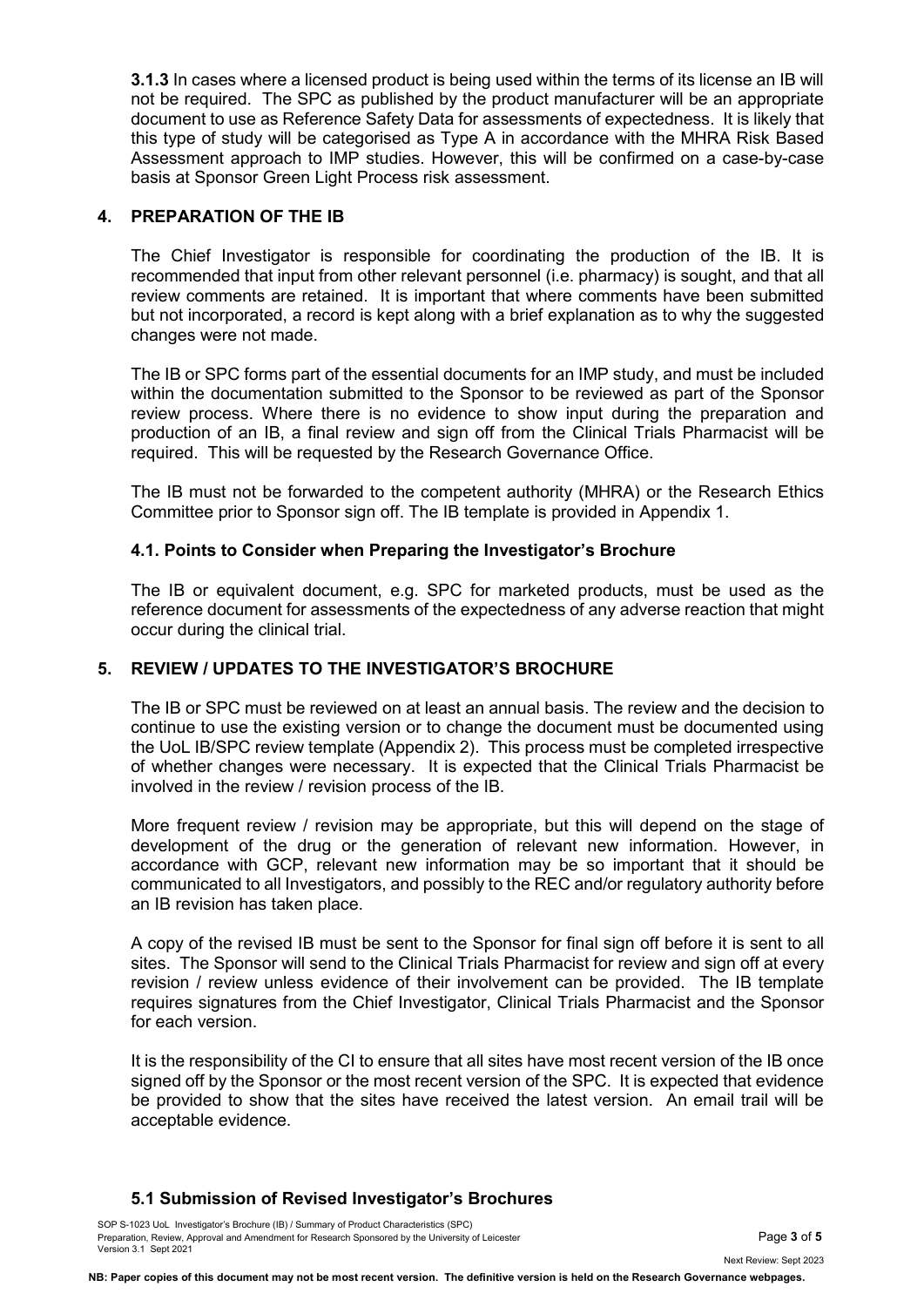**3.1.3** In cases where a licensed product is being used within the terms of its license an IB will not be required. The SPC as published by the product manufacturer will be an appropriate document to use as Reference Safety Data for assessments of expectedness. It is likely that this type of study will be categorised as Type A in accordance with the MHRA Risk Based Assessment approach to IMP studies. However, this will be confirmed on a case-by-case basis at Sponsor Green Light Process risk assessment.

#### **4. PREPARATION OF THE IB**

The Chief Investigator is responsible for coordinating the production of the IB. It is recommended that input from other relevant personnel (i.e. pharmacy) is sought, and that all review comments are retained. It is important that where comments have been submitted but not incorporated, a record is kept along with a brief explanation as to why the suggested changes were not made.

The IB or SPC forms part of the essential documents for an IMP study, and must be included within the documentation submitted to the Sponsor to be reviewed as part of the Sponsor review process. Where there is no evidence to show input during the preparation and production of an IB, a final review and sign off from the Clinical Trials Pharmacist will be required. This will be requested by the Research Governance Office.

The IB must not be forwarded to the competent authority (MHRA) or the Research Ethics Committee prior to Sponsor sign off. The IB template is provided in Appendix 1.

#### **4.1. Points to Consider when Preparing the Investigator's Brochure**

The IB or equivalent document, e.g. SPC for marketed products, must be used as the reference document for assessments of the expectedness of any adverse reaction that might occur during the clinical trial.

#### **5. REVIEW / UPDATES TO THE INVESTIGATOR'S BROCHURE**

The IB or SPC must be reviewed on at least an annual basis. The review and the decision to continue to use the existing version or to change the document must be documented using the UoL IB/SPC review template (Appendix 2). This process must be completed irrespective of whether changes were necessary. It is expected that the Clinical Trials Pharmacist be involved in the review / revision process of the IB.

More frequent review / revision may be appropriate, but this will depend on the stage of development of the drug or the generation of relevant new information. However, in accordance with GCP, relevant new information may be so important that it should be communicated to all Investigators, and possibly to the REC and/or regulatory authority before an IB revision has taken place.

A copy of the revised IB must be sent to the Sponsor for final sign off before it is sent to all sites. The Sponsor will send to the Clinical Trials Pharmacist for review and sign off at every revision / review unless evidence of their involvement can be provided. The IB template requires signatures from the Chief Investigator, Clinical Trials Pharmacist and the Sponsor for each version.

It is the responsibility of the CI to ensure that all sites have most recent version of the IB once signed off by the Sponsor or the most recent version of the SPC. It is expected that evidence be provided to show that the sites have received the latest version. An email trail will be acceptable evidence.

#### **5.1 Submission of Revised Investigator's Brochures**

SOP S-1023 UoL Investigator's Brochure (IB) / Summary of Product Characteristics (SPC) Preparation, Review, Approval and Amendment for Research Sponsored by the University of Leicester **Page 19 of 5** and **Page 3 of 5** Version 3.1 Sept 2021

Next Review: Sept 2023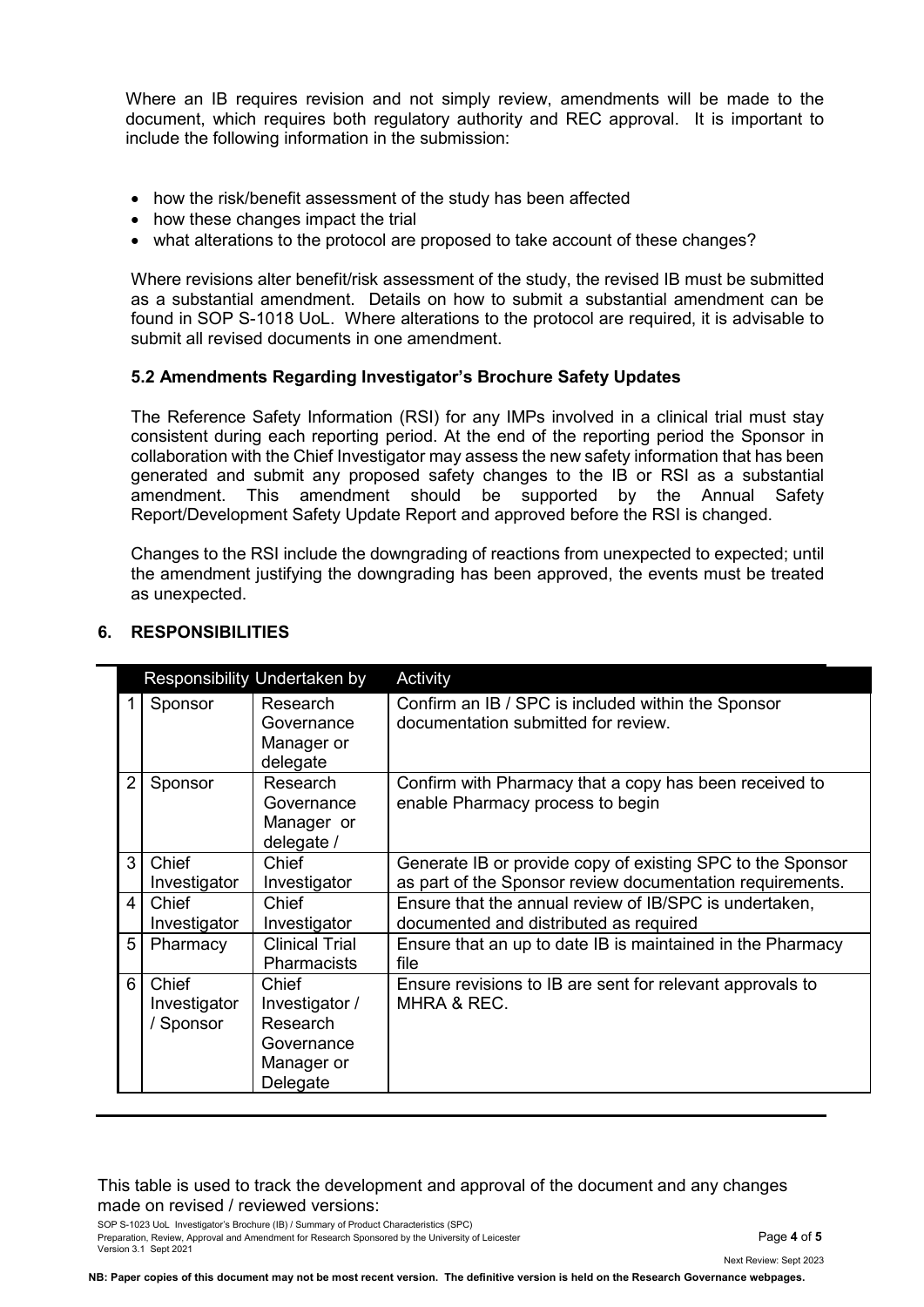Where an IB requires revision and not simply review, amendments will be made to the document, which requires both regulatory authority and REC approval. It is important to include the following information in the submission:

- how the risk/benefit assessment of the study has been affected
- how these changes impact the trial
- what alterations to the protocol are proposed to take account of these changes?

Where revisions alter benefit/risk assessment of the study, the revised IB must be submitted as a substantial amendment. Details on how to submit a substantial amendment can be found in SOP S-1018 UoL. Where alterations to the protocol are required, it is advisable to submit all revised documents in one amendment.

#### **5.2 Amendments Regarding Investigator's Brochure Safety Updates**

The Reference Safety Information (RSI) for any IMPs involved in a clinical trial must stay consistent during each reporting period. At the end of the reporting period the Sponsor in collaboration with the Chief Investigator may assess the new safety information that has been generated and submit any proposed safety changes to the IB or RSI as a substantial amendment. This amendment should be supported by the Annual Safety Report/Development Safety Update Report and approved before the RSI is changed.

Changes to the RSI include the downgrading of reactions from unexpected to expected; until the amendment justifying the downgrading has been approved, the events must be treated as unexpected.

|                |                                    | Responsibility Undertaken by                                                | Activity                                                                                                                |
|----------------|------------------------------------|-----------------------------------------------------------------------------|-------------------------------------------------------------------------------------------------------------------------|
|                | Sponsor                            | Research<br>Governance<br>Manager or<br>delegate                            | Confirm an IB / SPC is included within the Sponsor<br>documentation submitted for review.                               |
| $\overline{2}$ | Sponsor                            | Research<br>Governance<br>Manager or<br>delegate /                          | Confirm with Pharmacy that a copy has been received to<br>enable Pharmacy process to begin                              |
| 3              | Chief<br>Investigator              | Chief<br>Investigator                                                       | Generate IB or provide copy of existing SPC to the Sponsor<br>as part of the Sponsor review documentation requirements. |
| 4              | Chief<br>Investigator              | Chief<br>Investigator                                                       | Ensure that the annual review of IB/SPC is undertaken,<br>documented and distributed as required                        |
| 5              | Pharmacy                           | <b>Clinical Trial</b><br><b>Pharmacists</b>                                 | Ensure that an up to date IB is maintained in the Pharmacy<br>file                                                      |
| 6              | Chief<br>Investigator<br>/ Sponsor | Chief<br>Investigator /<br>Research<br>Governance<br>Manager or<br>Delegate | Ensure revisions to IB are sent for relevant approvals to<br>MHRA & REC.                                                |

#### **6. RESPONSIBILITIES**

#### This table is used to track the development and approval of the document and any changes made on revised / reviewed versions:

SOP S-1023 UoL Investigator's Brochure (IB) / Summary of Product Characteristics (SPC) Preparation, Review, Approval and Amendment for Research Sponsored by the University of Leicester **Page 1** of 5 Version 3.1 Sept 2021

Next Review: Sept 2023

**NB: Paper copies of this document may not be most recent version. The definitive version is held on the Research Governance webpages.**